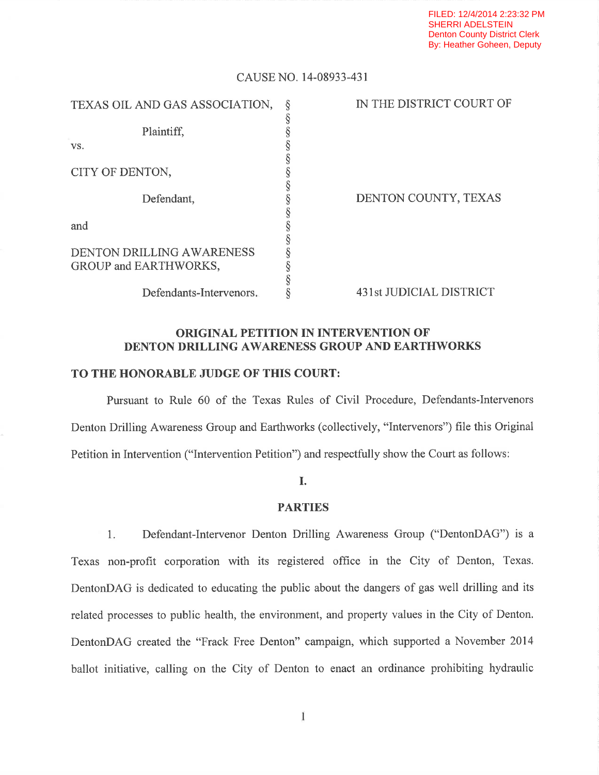## CAUSE NO. l4-08933-431

| TEXAS OIL AND GAS ASSOCIATION, | IN THE DISTRICT COURT OF |
|--------------------------------|--------------------------|
|                                |                          |
| Plaintiff,                     |                          |
| VS.                            |                          |
|                                |                          |
| CITY OF DENTON,                |                          |
|                                |                          |
| Defendant,                     | DENTON COUNTY, TEXAS     |
|                                |                          |
| and                            |                          |
|                                |                          |
| DENTON DRILLING AWARENESS      |                          |
| GROUP and EARTHWORKS,          |                          |
|                                |                          |
| Defendants-Intervenors.        | 431st JUDICIAL DISTRICT  |

## ORIGINAL PETITION IN INTERVENTION OF DENTON DRILLING AWARENESS GROUP AND EARTHWORKS

## TO THE HONORABLE JUDGE OF THIS COURT:

Pursuant to Rule 60 of the Texas Rules of Civil Procedure, Defendants-Intervenors Denton Drilling Awareness Group and Earthworks (collectively, "Intervenors") file this Original Petition in Intervention ("Intervention Petition") and respectfully show the Court as follows:

## I.

## PARTIES

1. Defendant-Intervenor Denton Drilling Awareness Group ("DentonDAG") is a Texas non-profit corporation with its registered office in the City of Denton, Texas. DentonDAG is dedicated to educating the public about the dangers of gas well drilling and its related processes to public health, the environment, and property values in the City of Denton. DentonDAG created the "Frack Free Denton" campaign, which supported a November 2014 ballot initiative, calling on the City of Denton to enact an ordinance prohibiting hydraulic

 $\mathbf{1}$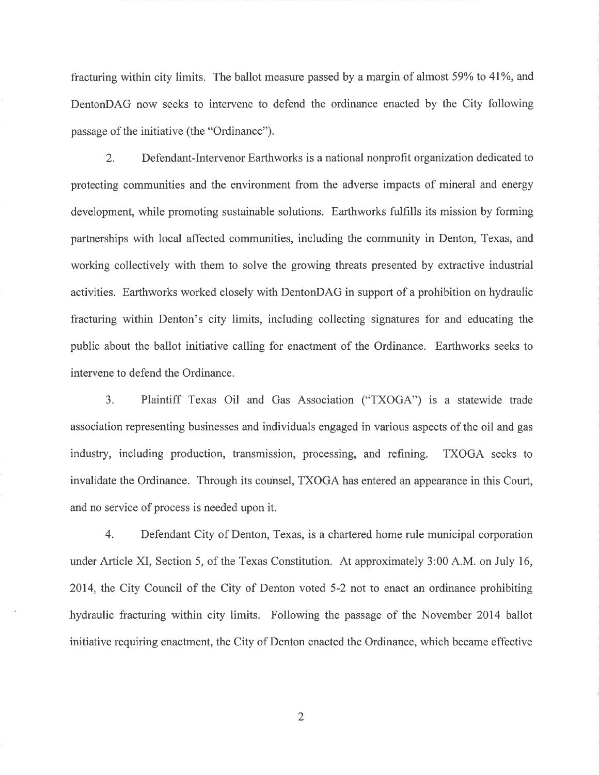fracturing within city limits. The ballot measure passed by a margin of almost 59% to 41%, and DentonDAG now seeks to intervene to defend the ordinance enacted by the City following passage of the initiative (the "Ordinance").

2. Defendant-Intervenor Earthworks is a national nonproffi organization dedicated to protecting communities and the environment from the adverse impacts of mineral and energy development, while promoting sustainable solutions. Earthworks fulfills its mission by forming partnerships with local affected communities, including the community in Denton, Texas, and working collectively with them to solve the growing threats presented by extractive industrial activities. Earthworks worked closely with DentonDAG in support of a prohibition on hydraulic fracturing within Denton's city limits, including collecting signatures for and educating the public about the ballot initiative calling for enactment of the Ordinance. Earthworks seeks to intervene to defend the Ordinance.

3. Plaintiff Texas Oil and Gas Association ("TXOGA") is a statewide trade association representing businesses and individuals engaged in various aspects of the oil and gas industry, including production, transmission, processing, and refining. TXOGA seeks to invalidate the Ordinance. Through its counsel, TXOGA has entered an appearance in this Court, and no service of process is needed upon it.

4. Defendant City of Denton, Texas, is a chartered home rule municipal corporation under Article XI, Section 5, of the Texas Constitution. At approximately 3:00 A.M. on July 16, 2014, the City Council of the City of Denton voted 5-2 not to enact an ordinance prohibiting hydraulic fracturing within city limits. Following the passage of the November 2014 ballot initiative requiring enactment, the City of Denton enacted the Ordinance, which became effective

2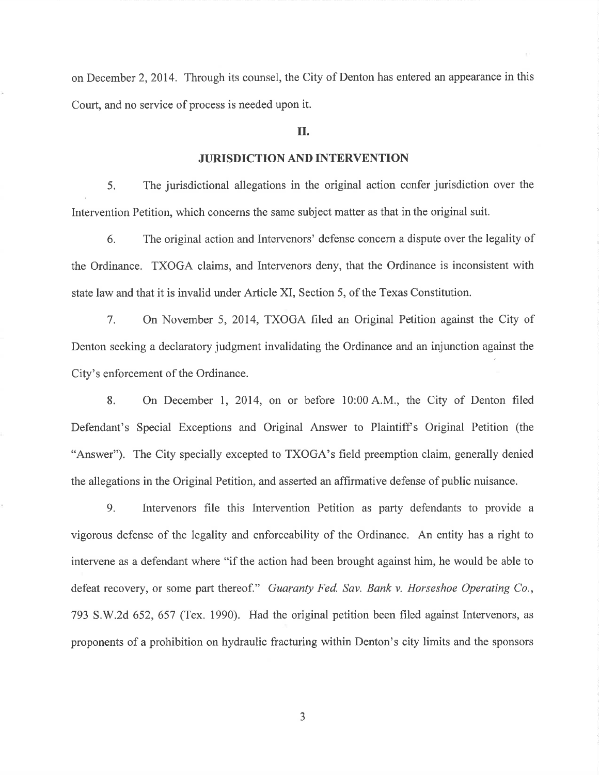on December 2, 2014. Through its counsel, the City of Denton has entered an appearance in this Court, and no service of process is needed upon it.

### II.

### JURISDICTION AND INTERVENTION

5. The jurisdictional allegations in the original action confer jurisdiction over the Intervention Petition, which concerns the same subject matter as that in the original suit.

6. The original action and Intervenors' defense concern a dispute over the legality of the Ordinance. TXOGA claims, and Intervenors deny, that the Ordinance is inconsistent with state law and that it is invalid under Article XI, Section 5, of the Texas Constitution.

7. On November 5, 2014, TXOGA filed an Original Petition against the City of Denton seeking a declaratory judgment invalidating the Ordinance and an injunction against the City's enforcement of the Ordinance.

8. On December 1, 2014, on or before 10:00 A.M., the City of Denton filed Defendant's Special Exceptions and Original Answer to Plaintiff's Original Petition (the "Answer"). The City specially excepted to TXOGA's field preemption claim, generally denied the allegations in the Original Petition, and asserted an affirmative defense of public nuisance.

9. Intervenors file this Intervention Petition as party defendants to provide a vigorous defense of the legality and enforceability of the Ordinance. An entity has a right to intervene as a defendant where "if the action had been brought against him, he would be able to defeat recovery, or some part thereof." Guaranty Fed. Sav. Bank v. Horseshoe Operating Co., 793 S.W.2d 652, 657 (Tex. 1990). Had the original petition been filed against Intervenors, as proponents of a prohibition on hydraulic fracturing within Denton's city limits and the sponsors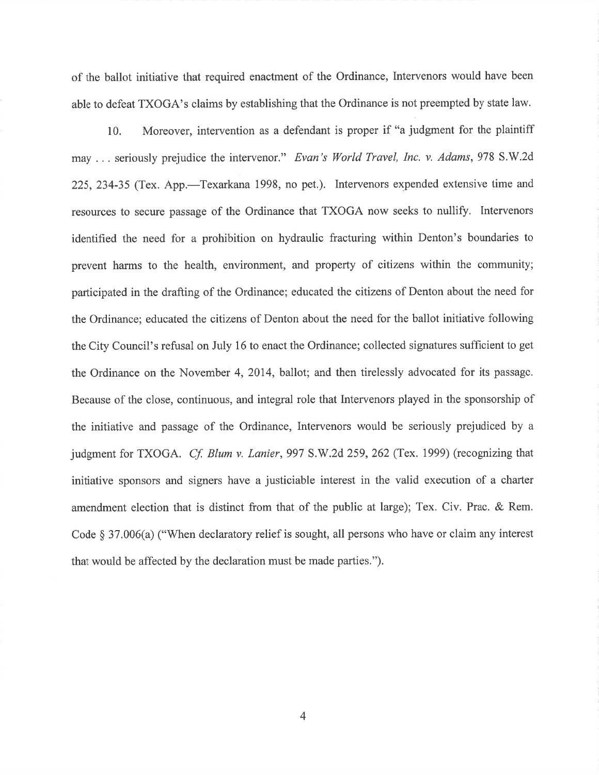of the ballot initiative that required enactment of the Ordinance, Intervenors would have been able to defeat TXOGA's claims by establishing that the Ordinance is not preempted by state law.

10. Moreover, intervention as a defendant is proper if "a judgment for the plaintiff may ... seriously prejudice the intervenor." Evan's World Travel, Inc. v. Adams, 978 S.W.2d 225, 234-35 (Tex. App.—Texarkana 1998, no pet.). Intervenors expended extensive time and resources to secure passage of the Ordinance that TXOGA now seeks to nullify. Intervenors identified the need for a prohibition on hydraulic fracturing within Denton's boundaries to prevent harms to the health, environment, and property of citizens within the community; participated in the drafting of the Ordinance; educated the citizens of Denton about the need for the Ordinance; educated the citizens of Denton about the need for the ballot initiative following the City Council's refusal on July 16 to enact the Ordinance; collected signatures sufficient to get the Ordinance on the November 4, 2014, ballot; and then tirelessly advocated for its passage. Because of the close, continuous, and integral role that Intervenors played in the sponsorship of the initiative and passage of the Ordinance, Intervenors would be seriously prejudiced by a judgment for TXOGA. *Cf. Blum v. Lanier*, 997 S.W.2d 259, 262 (Tex. 1999) (recognizing that initiative sponsors and signers have a justiciable interest in the valid execution of a charter amendment election that is distinct from that of the public at large); Tex. Civ. Prac. & Rem. Code  $\S 37.006(a)$  ("When declaratory relief is sought, all persons who have or claim any interest that would be affected by the declaration must be made parties.").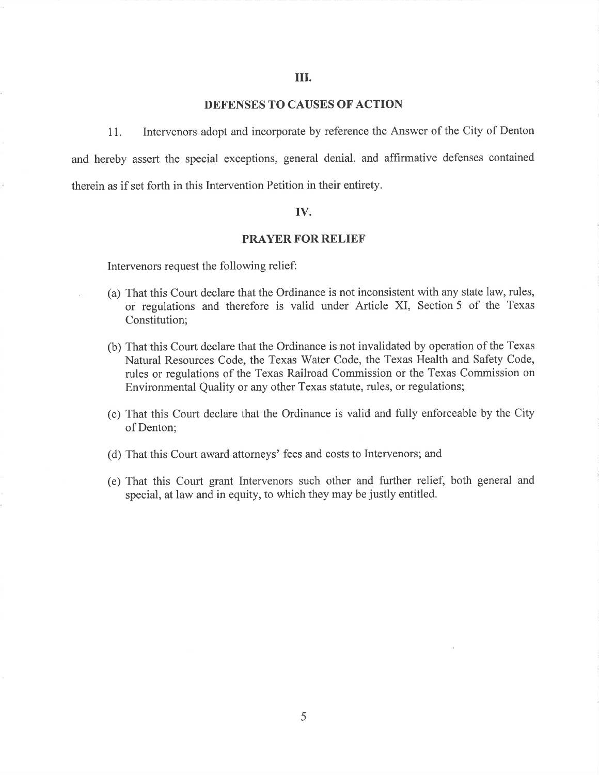## DEFENSES TO CAUSES OF ACTION

11. Intervenors adopt and incorporate by reference the Answer of the City of Denton and hereby assert the special exceptions, general denial, and afltrmative defenses contained therein as if set forth in this Intervention Petition in their entirety.

#### IV.

#### PRAYER FOR RELIEF

Intervenors request the following relief:

- (a) That this Court declare that the Ordinance is not inconsistent with any state law, rules, or regulations and therefore is valid under Article XI, Section 5 of the Texas Constitution;
- (b) That this Court declare that the Ordinance is not invalidated by operation of the Texas Natural Resources Code, the Texas Water Code, the Texas Health and Safety Code, rules or regulations of the Texas Railroad Commission or the Texas Commission on Environmental Quality or any other Texas statute, rules, or regulations;
- (c) That this Court declare that the Ordinance is valid and fully enforceable by the City of Denton;
- (d) That this Court award attorneys' fees and costs to Intervenors; and
- (e) That this Court grant Intervenors such other and further relief, both general and special, at law and in equity, to which they may be justly entitled.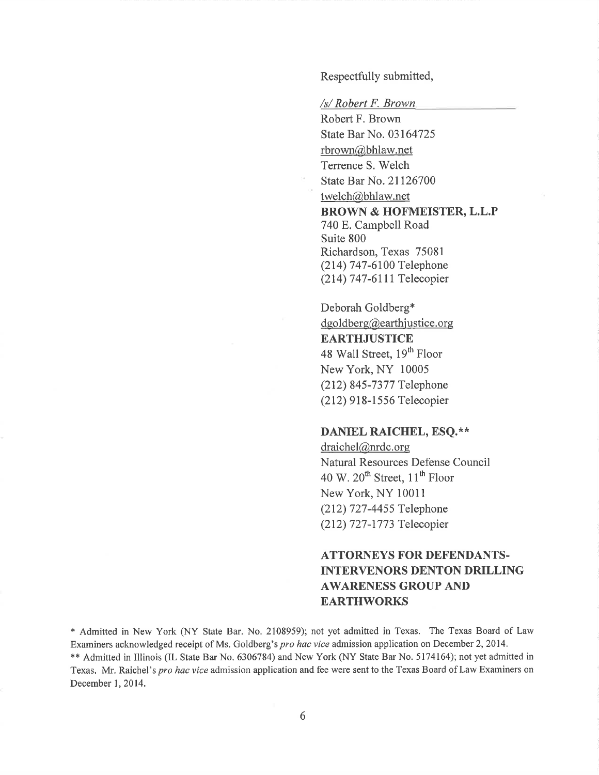Respectfully submitted,

/s/ Robert F. Brown

Robert F. Brown State Bar No. 03164725 rbrown@bhlaw.net Terrence S. Welch State Bar No. 21126700 twelch@bhlaw.net BROWN & HOFMEISTER, L.L.P 740 E. Campbell Road Suite 800 Richardson, Texas 75081 (214) 747-6100 Telephone (214) 747-6111 Telecopier

Deborah Goldberg\*  $dgoldberg@earthystice.org$ **EARTHJUSTICE** 48 Wall Street, 19<sup>th</sup> Floor New York, NY <sup>10005</sup> (212) 845-7377 Telephone (212) 9l 8- 1 556 Telecopier

## DANIEL RAICHEL, ESQ.\*\*

draichel@nrdc.org Natural Resources Defense Council 40 W.  $20^{th}$  Street,  $11^{th}$  Floor New York, NY 10011 (212) 727-4455 Telephone (212) 727 -1 773 Telecopier

# ATTORNEYS FOR DEFENDANTS. INTERVENORS DENTON DRILLING AWARENESS GROUP AND EARTHWORKS

\* Admitted in New York (NY State Bar. No. 2108959); not yet admitted in Texas. The Texas Board of Law Examiners acknowledged receipt of Ms. Goldberg's pro hac vice admission application on December 2, 2014. \*\* Admitted in Illinois (IL State Bar No, 6306784) and New York (NY State Bar No. 5174164); not yet admitted in Texas. Mr. Raichel's pro hac vice admission application and fee were sent to the Texas Board of Law Examiners on December 1,2014.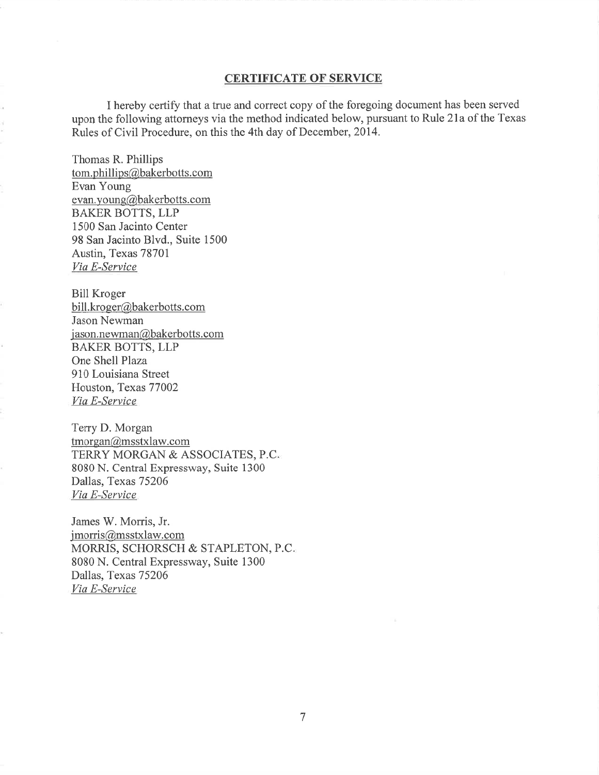#### CERTIFICATE OF SERVICE

I hereby certify that atrue and correct copy of the foregoing document has been served upon the following attorneys via the method indicated below, pursuant to Rule 2la of the Texas Rules of Civil Procedure, on this the 4th day of December, 2014.

Thomas R. Phillips tom.phillips@bakerbotts.com Evan Young evan. young@bakerbotts.com BAKER BOTTS, LLP 1500 San Jacinto Center 98 San Jacinto Blvd., Suite 1500 Austin, Texas 78701 Via E-Service

Bill Kroger bill.kroger@bakerbotts.com Jason Newman jason.newman@bakerbotts.com BAKER BOTTS, LLP One Shell Plaza 910 Louisiana Street Houston, Texas 77002 Via E-Service

Terry D. Morgan tmorgan@msstxlaw.com TERRY MORGAN & ASSOCIATES, P.C <sup>8080</sup>N. Central Expressway, Suite <sup>1300</sup> Dallas, Texas 75206 Via E-Service

James W. Morris, Jr. jmorris@msstxlaw.com MORRIS, SCHORSCH & STAPLETON, P.C. <sup>8080</sup>N. Central Expressway, Suite <sup>1300</sup> Dallas, Texas 75206 Viø E-Service